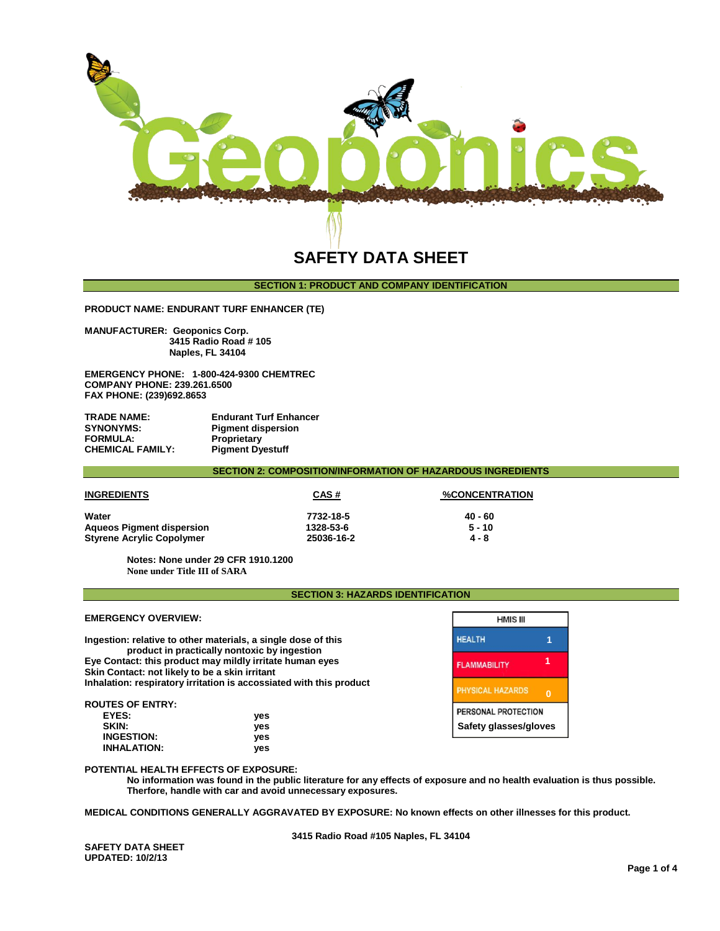

# **SECTION 1: PRODUCT AND COMPANY IDENTIFICATION**

**PRODUCT NAME: ENDURANT TURF ENHANCER (TE)**

**MANUFACTURER: Geoponics Corp. 3415 Radio Road # 105 Naples, FL 34104** 

**EMERGENCY PHONE: 1-800-424-9300 CHEMTREC COMPANY PHONE: 239.261.6500 FAX PHONE: (239)692.8653**

| TRADE NAME:      | <b>Endurant Turf Enhancer</b> |
|------------------|-------------------------------|
| <b>SYNONYMS:</b> | <b>Pigment dispersion</b>     |
| FORMULA:         | Proprietary                   |
| CHEMICAL FAMILY: | <b>Pigment Dyestuff</b>       |

**SECTION 2: COMPOSITION/INFORMATION OF HAZARDOUS INGREDIENTS**

| <b>INGREDIENTS</b>               | CAS#       | <b>%CONCENTRATION</b> |
|----------------------------------|------------|-----------------------|
| Water                            | 7732-18-5  | 40 - 60               |
| <b>Aqueos Pigment dispersion</b> | 1328-53-6  | $5 - 10$              |
| <b>Styrene Acrylic Copolymer</b> | 25036-16-2 | 4 - 8                 |

**Notes: None under 29 CFR 1910.1200 None under Title III of SARA**

**SECTION 3: HAZARDS IDENTIFICATION**

Г

| <b>EMERGENCY OVERVIEW:</b>                                                                                 |                                                                                                               | <b>HMIS III</b>         |          |
|------------------------------------------------------------------------------------------------------------|---------------------------------------------------------------------------------------------------------------|-------------------------|----------|
|                                                                                                            | Ingestion: relative to other materials, a single dose of this<br>product in practically nontoxic by ingestion | <b>HEALTH</b>           |          |
| Eye Contact: this product may mildly irritate human eyes<br>Skin Contact: not likely to be a skin irritant | <b>FLAMMABILITY</b>                                                                                           |                         |          |
|                                                                                                            | Inhalation: respiratory irritation is accossiated with this product                                           | <b>PHYSICAL HAZARDS</b> | $\Omega$ |
| <b>ROUTES OF ENTRY:</b>                                                                                    |                                                                                                               | PERSONAL PROTECTION     |          |
| EYES:                                                                                                      | yes                                                                                                           |                         |          |
| SKIN:                                                                                                      | ves                                                                                                           | Safety glasses/gloves   |          |

#### **POTENTIAL HEALTH EFFECTS OF EXPOSURE:**

 **INGESTION: yes INHALATION: yes**

> **No information was found in the public literature for any effects of exposure and no health evaluation is thus possible. Therfore, handle with car and avoid unnecessary exposures.**

**MEDICAL CONDITIONS GENERALLY AGGRAVATED BY EXPOSURE: No known effects on other illnesses for this product.**

**3415 Radio Road #105 Naples, FL 34104** 

**SAFETY DATA SHEET UPDATED: 10/2/13**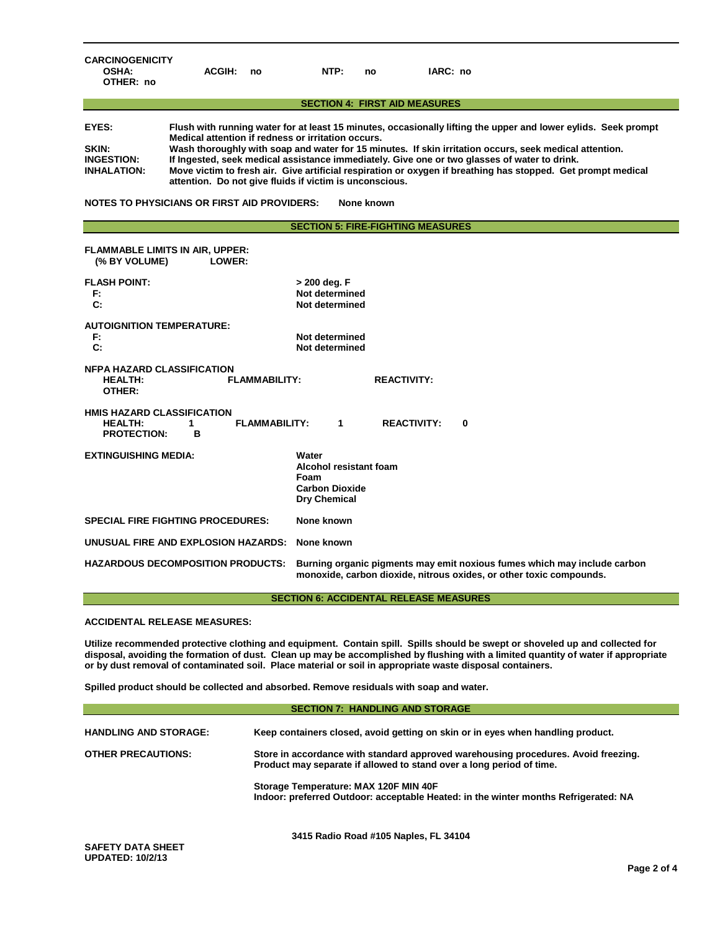| <b>CARCINOGENICITY</b><br><b>OSHA:</b><br>OTHER: no                                                                                                                                                                                                                                                                                                                                                                                                                                                                                                                                                                                                                                 | <b>ACGIH:</b>                                                                                                                                                                               | no                   | NTP:                                                                                           | no | IARC: no           |   |
|-------------------------------------------------------------------------------------------------------------------------------------------------------------------------------------------------------------------------------------------------------------------------------------------------------------------------------------------------------------------------------------------------------------------------------------------------------------------------------------------------------------------------------------------------------------------------------------------------------------------------------------------------------------------------------------|---------------------------------------------------------------------------------------------------------------------------------------------------------------------------------------------|----------------------|------------------------------------------------------------------------------------------------|----|--------------------|---|
|                                                                                                                                                                                                                                                                                                                                                                                                                                                                                                                                                                                                                                                                                     |                                                                                                                                                                                             |                      | <b>SECTION 4: FIRST AID MEASURES</b>                                                           |    |                    |   |
| EYES:<br>Flush with running water for at least 15 minutes, occasionally lifting the upper and lower eylids. Seek prompt<br>Medical attention if redness or irritation occurs.<br>Wash thoroughly with soap and water for 15 minutes. If skin irritation occurs, seek medical attention.<br>SKIN:<br>If Ingested, seek medical assistance immediately. Give one or two glasses of water to drink.<br><b>INGESTION:</b><br>Move victim to fresh air. Give artificial respiration or oxygen if breathing has stopped. Get prompt medical<br><b>INHALATION:</b><br>attention. Do not give fluids if victim is unconscious.<br>NOTES TO PHYSICIANS OR FIRST AID PROVIDERS:<br>None known |                                                                                                                                                                                             |                      |                                                                                                |    |                    |   |
|                                                                                                                                                                                                                                                                                                                                                                                                                                                                                                                                                                                                                                                                                     |                                                                                                                                                                                             |                      | <b>SECTION 5: FIRE-FIGHTING MEASURES</b>                                                       |    |                    |   |
| <b>FLAMMABLE LIMITS IN AIR, UPPER:</b><br>(% BY VOLUME)                                                                                                                                                                                                                                                                                                                                                                                                                                                                                                                                                                                                                             | LOWER:                                                                                                                                                                                      |                      |                                                                                                |    |                    |   |
| <b>FLASH POINT:</b><br>> 200 deg. F<br>Not determined<br>F:<br>C:<br>Not determined                                                                                                                                                                                                                                                                                                                                                                                                                                                                                                                                                                                                 |                                                                                                                                                                                             |                      |                                                                                                |    |                    |   |
| <b>AUTOIGNITION TEMPERATURE:</b><br>F:<br>Not determined<br>C:<br>Not determined                                                                                                                                                                                                                                                                                                                                                                                                                                                                                                                                                                                                    |                                                                                                                                                                                             |                      |                                                                                                |    |                    |   |
| <b>NFPA HAZARD CLASSIFICATION</b><br><b>FLAMMABILITY:</b><br><b>REACTIVITY:</b><br><b>HEALTH:</b><br>OTHER:                                                                                                                                                                                                                                                                                                                                                                                                                                                                                                                                                                         |                                                                                                                                                                                             |                      |                                                                                                |    |                    |   |
| <b>HMIS HAZARD CLASSIFICATION</b><br><b>HEALTH:</b><br><b>PROTECTION:</b>                                                                                                                                                                                                                                                                                                                                                                                                                                                                                                                                                                                                           | 1<br>в                                                                                                                                                                                      | <b>FLAMMABILITY:</b> | 1                                                                                              |    | <b>REACTIVITY:</b> | 0 |
| <b>EXTINGUISHING MEDIA:</b>                                                                                                                                                                                                                                                                                                                                                                                                                                                                                                                                                                                                                                                         |                                                                                                                                                                                             |                      | Water<br><b>Alcohol resistant foam</b><br>Foam<br><b>Carbon Dioxide</b><br><b>Dry Chemical</b> |    |                    |   |
| <b>SPECIAL FIRE FIGHTING PROCEDURES:</b>                                                                                                                                                                                                                                                                                                                                                                                                                                                                                                                                                                                                                                            |                                                                                                                                                                                             |                      | None known                                                                                     |    |                    |   |
| UNUSUAL FIRE AND EXPLOSION HAZARDS:                                                                                                                                                                                                                                                                                                                                                                                                                                                                                                                                                                                                                                                 |                                                                                                                                                                                             |                      | None known                                                                                     |    |                    |   |
|                                                                                                                                                                                                                                                                                                                                                                                                                                                                                                                                                                                                                                                                                     | <b>HAZARDOUS DECOMPOSITION PRODUCTS:</b><br>Burning organic pigments may emit noxious fumes which may include carbon<br>monoxide, carbon dioxide, nitrous oxides, or other toxic compounds. |                      |                                                                                                |    |                    |   |

#### **SECTION 6: ACCIDENTAL RELEASE MEASURES**

## **ACCIDENTAL RELEASE MEASURES:**

**UPDATED: 10/2/13**

**Utilize recommended protective clothing and equipment. Contain spill. Spills should be swept or shoveled up and collected for disposal, avoiding the formation of dust. Clean up may be accomplished by flushing with a limited quantity of water if appropriate or by dust removal of contaminated soil. Place material or soil in appropriate waste disposal containers.**

**Spilled product should be collected and absorbed. Remove residuals with soap and water.** 

| <b>SECTION 7: HANDLING AND STORAGE</b> |                                                                                                                                                            |  |
|----------------------------------------|------------------------------------------------------------------------------------------------------------------------------------------------------------|--|
| <b>HANDLING AND STORAGE:</b>           | Keep containers closed, avoid getting on skin or in eyes when handling product.                                                                            |  |
| <b>OTHER PRECAUTIONS:</b>              | Store in accordance with standard approved warehousing procedures. Avoid freezing.<br>Product may separate if allowed to stand over a long period of time. |  |
|                                        | Storage Temperature: MAX 120F MIN 40F<br>Indoor: preferred Outdoor: acceptable Heated: in the winter months Refrigerated: NA                               |  |
| <b>SAFETY DATA SHEET</b>               | 3415 Radio Road #105 Naples, FL 34104                                                                                                                      |  |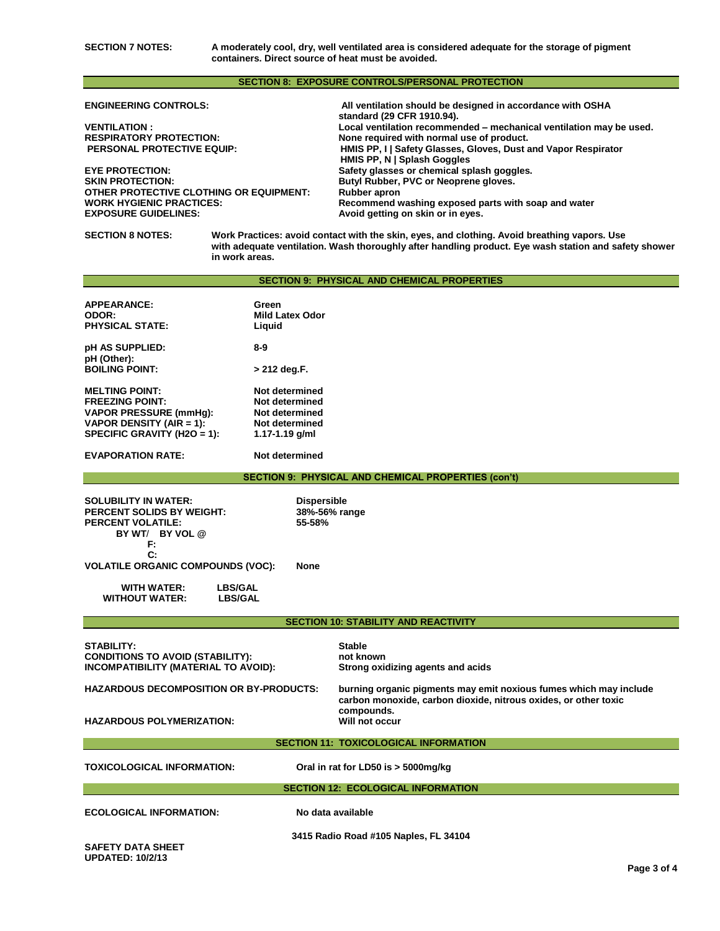**SECTION 7 NOTES: A moderately cool, dry, well ventilated area is considered adequate for the storage of pigment containers. Direct source of heat must be avoided.**

### **SECTION 8: EXPOSURE CONTROLS/PERSONAL PROTECTION**

| <b>ENGINEERING CONTROLS:</b>                   | All ventilation should be designed in accordance with OSHA<br>standard (29 CFR 1910.94). |
|------------------------------------------------|------------------------------------------------------------------------------------------|
| <b>VENTILATION:</b>                            | Local ventilation recommended – mechanical ventilation may be used.                      |
| <b>RESPIRATORY PROTECTION:</b>                 | None required with normal use of product.                                                |
| <b>PERSONAL PROTECTIVE EQUIP:</b>              | HMIS PP, I Safety Glasses, Gloves, Dust and Vapor Respirator                             |
|                                                | HMIS PP, N   Splash Goggles                                                              |
| <b>EYE PROTECTION:</b>                         | Safety glasses or chemical splash goggles.                                               |
| <b>SKIN PROTECTION:</b>                        | Butyl Rubber, PVC or Neoprene gloves.                                                    |
| <b>OTHER PROTECTIVE CLOTHING OR EQUIPMENT:</b> | Rubber apron                                                                             |
| <b>WORK HYGIENIC PRACTICES:</b>                | Recommend washing exposed parts with soap and water                                      |
| <b>EXPOSURE GUIDELINES:</b>                    | Avoid getting on skin or in eyes.                                                        |

### **SECTION 8 NOTES:**

**SECTION 8 NOTES: Work Practices: avoid contact with the skin, eyes, and clothing. Avoid breathing vapors. Use with adequate ventilation. Wash thoroughly after handling product. Eye wash station and safety shower in work areas.** 

## **SECTION 9: PHYSICAL AND CHEMICAL PROPERTIES**

| <b>APPEARANCE:</b><br>ODOR:                                                                                                                 | Green<br><b>Mild Latex Odor</b>                                                          |                                                                                 |  |  |  |
|---------------------------------------------------------------------------------------------------------------------------------------------|------------------------------------------------------------------------------------------|---------------------------------------------------------------------------------|--|--|--|
| <b>PHYSICAL STATE:</b>                                                                                                                      | Liquid                                                                                   |                                                                                 |  |  |  |
| pH AS SUPPLIED:                                                                                                                             | $8 - 9$                                                                                  |                                                                                 |  |  |  |
| pH (Other):<br><b>BOILING POINT:</b>                                                                                                        | > 212 deg.F.                                                                             |                                                                                 |  |  |  |
| <b>MELTING POINT:</b><br><b>FREEZING POINT:</b><br><b>VAPOR PRESSURE (mmHg):</b><br>VAPOR DENSITY (AIR = 1):<br>SPECIFIC GRAVITY (H2O = 1): | Not determined<br>Not determined<br>Not determined<br>Not determined<br>1.17-1.19 $g/ml$ |                                                                                 |  |  |  |
| <b>EVAPORATION RATE:</b>                                                                                                                    | Not determined                                                                           |                                                                                 |  |  |  |
|                                                                                                                                             |                                                                                          | <b>SECTION 9: PHYSICAL AND CHEMICAL PROPERTIES (con't)</b>                      |  |  |  |
| <b>SOLUBILITY IN WATER:</b><br><b>PERCENT SOLIDS BY WEIGHT:</b><br>PERCENT VOLATILE:<br>BY WT/ BY VOL @<br>F:                               | <b>Dispersible</b><br>38%-56% range<br>55-58%                                            |                                                                                 |  |  |  |
| C:<br><b>VOLATILE ORGANIC COMPOUNDS (VOC):</b><br>None                                                                                      |                                                                                          |                                                                                 |  |  |  |
| <b>LBS/GAL</b><br><b>WITH WATER:</b><br><b>WITHOUT WATER:</b><br><b>LBS/GAL</b>                                                             |                                                                                          |                                                                                 |  |  |  |
| <b>SECTION 10: STABILITY AND REACTIVITY</b>                                                                                                 |                                                                                          |                                                                                 |  |  |  |
| <b>STABILITY:</b><br><b>CONDITIONS TO AVOID (STABILITY):</b><br>INCOMPATIBILITY (MATERIAL TO AVOID):                                        |                                                                                          | <b>Stable</b><br>not known<br>Strong oxidizing agents and acids                 |  |  |  |
| <b>HAZARDOUS DECOMPOSITION OR BY-PRODUCTS:</b><br>carbon monoxide, carbon dioxide, nitrous oxides, or other toxic                           |                                                                                          | burning organic pigments may emit noxious fumes which may include<br>compounds. |  |  |  |
| <b>HAZARDOUS POLYMERIZATION:</b>                                                                                                            |                                                                                          | Will not occur                                                                  |  |  |  |
| <b>SECTION 11: TOXICOLOGICAL INFORMATION</b>                                                                                                |                                                                                          |                                                                                 |  |  |  |
| TOXICOLOGICAL INFORMATION:                                                                                                                  |                                                                                          | Oral in rat for LD50 is > 5000mg/kg                                             |  |  |  |
| <b>SECTION 12: ECOLOGICAL INFORMATION</b>                                                                                                   |                                                                                          |                                                                                 |  |  |  |
| <b>ECOLOGICAL INFORMATION:</b>                                                                                                              | No data available                                                                        |                                                                                 |  |  |  |
| <b>SAFETY DATA SHEET</b>                                                                                                                    |                                                                                          | 3415 Radio Road #105 Naples, FL 34104                                           |  |  |  |

**UPDATED: 10/2/13**